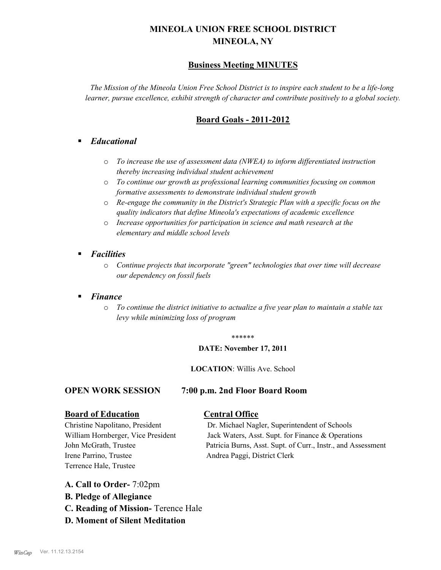# **MINEOLA UNION FREE SCHOOL DISTRICT MINEOLA, NY**

# **Business Meeting MINUTES**

*The Mission of the Mineola Union Free School District is to inspire each student to be a life-long learner, pursue excellence, exhibit strength of character and contribute positively to a global society.*

# **Board Goals - 2011-2012**

# § *Educational*

- o *To increase the use of assessment data (NWEA) to inform differentiated instruction thereby increasing individual student achievement*
- o *To continue our growth as professional learning communities focusing on common formative assessments to demonstrate individual student growth*
- o *Re-engage the community in the District's Strategic Plan with a specific focus on the quality indicators that define Mineola's expectations of academic excellence*
- o *Increase opportunities for participation in science and math research at the elementary and middle school levels*
- *Facilities* 
	- o *Continue projects that incorporate "green" technologies that over time will decrease our dependency on fossil fuels*

## § *Finance*

o *To continue the district initiative to actualize a five year plan to maintain a stable tax levy while minimizing loss of program*

#### \*\*\*\*\*\*

#### **DATE: November 17, 2011**

#### **LOCATION**: Willis Ave. School

## **OPEN WORK SESSION 7:00 p.m. 2nd Floor Board Room**

## **Board of Education Central Office**

Irene Parrino, Trustee Andrea Paggi, District Clerk Terrence Hale, Trustee

Christine Napolitano, President Dr. Michael Nagler, Superintendent of Schools William Hornberger, Vice President Jack Waters, Asst. Supt. for Finance & Operations John McGrath, Trustee Patricia Burns, Asst. Supt. of Curr., Instr., and Assessment

# **A. Call to Order-** 7:02pm

- **B. Pledge of Allegiance**
- **C. Reading of Mission-** Terence Hale
- **D. Moment of Silent Meditation**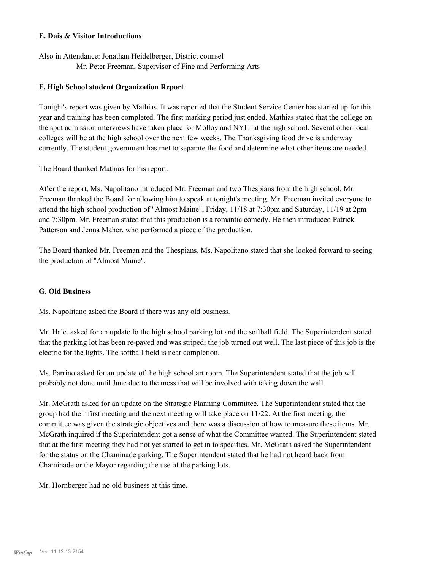#### **E. Dais & Visitor Introductions**

Also in Attendance: Jonathan Heidelberger, District counsel Mr. Peter Freeman, Supervisor of Fine and Performing Arts

#### **F. High School student Organization Report**

Tonight's report was given by Mathias. It was reported that the Student Service Center has started up for this year and training has been completed. The first marking period just ended. Mathias stated that the college on the spot admission interviews have taken place for Molloy and NYIT at the high school. Several other local colleges will be at the high school over the next few weeks. The Thanksgiving food drive is underway currently. The student government has met to separate the food and determine what other items are needed.

The Board thanked Mathias for his report.

After the report, Ms. Napolitano introduced Mr. Freeman and two Thespians from the high school. Mr. Freeman thanked the Board for allowing him to speak at tonight's meeting. Mr. Freeman invited everyone to attend the high school production of "Almost Maine", Friday, 11/18 at 7:30pm and Saturday, 11/19 at 2pm and 7:30pm. Mr. Freeman stated that this production is a romantic comedy. He then introduced Patrick Patterson and Jenna Maher, who performed a piece of the production.

The Board thanked Mr. Freeman and the Thespians. Ms. Napolitano stated that she looked forward to seeing the production of "Almost Maine".

## **G. Old Business**

Ms. Napolitano asked the Board if there was any old business.

Mr. Hale. asked for an update fo the high school parking lot and the softball field. The Superintendent stated that the parking lot has been re-paved and was striped; the job turned out well. The last piece of this job is the electric for the lights. The softball field is near completion.

Ms. Parrino asked for an update of the high school art room. The Superintendent stated that the job will probably not done until June due to the mess that will be involved with taking down the wall.

Mr. McGrath asked for an update on the Strategic Planning Committee. The Superintendent stated that the group had their first meeting and the next meeting will take place on 11/22. At the first meeting, the committee was given the strategic objectives and there was a discussion of how to measure these items. Mr. McGrath inquired if the Superintendent got a sense of what the Committee wanted. The Superintendent stated that at the first meeting they had not yet started to get in to specifics. Mr. McGrath asked the Superintendent for the status on the Chaminade parking. The Superintendent stated that he had not heard back from Chaminade or the Mayor regarding the use of the parking lots.

Mr. Hornberger had no old business at this time.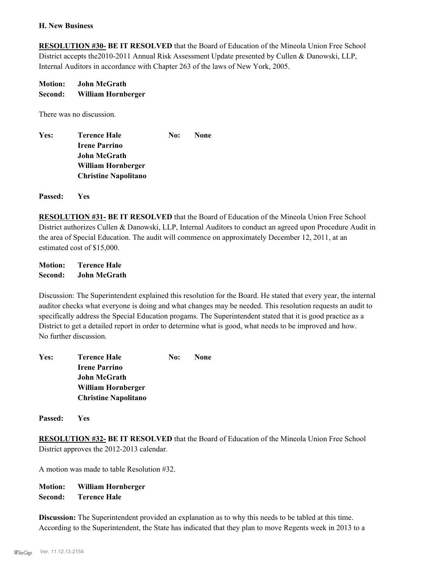#### **H. New Business**

**RESOLUTION #30- BE IT RESOLVED** that the Board of Education of the Mineola Union Free School District accepts the2010-2011 Annual Risk Assessment Update presented by Cullen & Danowski, LLP, Internal Auditors in accordance with Chapter 263 of the laws of New York, 2005.

**Motion: John McGrath Second: William Hornberger**

There was no discussion.

| <b>None</b> |
|-------------|
|             |
|             |
|             |
|             |
|             |

**Passed: Yes**

**RESOLUTION #31- BE IT RESOLVED** that the Board of Education of the Mineola Union Free School District authorizes Cullen & Danowski, LLP, Internal Auditors to conduct an agreed upon Procedure Audit in the area of Special Education. The audit will commence on approximately December 12, 2011, at an estimated cost of \$15,000.

**Motion: Terence Hale Second: John McGrath**

Discussion: The Superintendent explained this resolution for the Board. He stated that every year, the internal auditor checks what everyone is doing and what changes may be needed. This resolution requests an audit to specifically address the Special Education progams. The Superintendent stated that it is good practice as a District to get a detailed report in order to determine what is good, what needs to be improved and how. No further discussion.

| Yes: | <b>Terence Hale</b>         | No: | None |
|------|-----------------------------|-----|------|
|      | <b>Irene Parrino</b>        |     |      |
|      | <b>John McGrath</b>         |     |      |
|      | William Hornberger          |     |      |
|      | <b>Christine Napolitano</b> |     |      |

**Passed: Yes**

**RESOLUTION #32- BE IT RESOLVED** that the Board of Education of the Mineola Union Free School District approves the 2012-2013 calendar.

A motion was made to table Resolution #32.

**Motion: William Hornberger Second: Terence Hale**

**Discussion:** The Superintendent provided an explanation as to why this needs to be tabled at this time. According to the Superintendent, the State has indicated that they plan to move Regents week in 2013 to a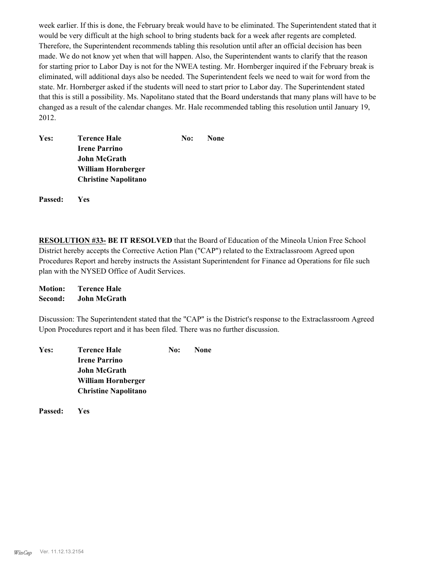week earlier. If this is done, the February break would have to be eliminated. The Superintendent stated that it would be very difficult at the high school to bring students back for a week after regents are completed. Therefore, the Superintendent recommends tabling this resolution until after an official decision has been made. We do not know yet when that will happen. Also, the Superintendent wants to clarify that the reason for starting prior to Labor Day is not for the NWEA testing. Mr. Hornberger inquired if the February break is eliminated, will additional days also be needed. The Superintendent feels we need to wait for word from the state. Mr. Hornberger asked if the students will need to start prior to Labor day. The Superintendent stated that this is still a possibility. Ms. Napolitano stated that the Board understands that many plans will have to be changed as a result of the calendar changes. Mr. Hale recommended tabling this resolution until January 19, 2012.

| Yes: | <b>Terence Hale</b>         | No: | <b>None</b> |
|------|-----------------------------|-----|-------------|
|      | <b>Irene Parrino</b>        |     |             |
|      | <b>John McGrath</b>         |     |             |
|      | William Hornberger          |     |             |
|      | <b>Christine Napolitano</b> |     |             |
|      |                             |     |             |

**Passed: Yes**

**RESOLUTION #33- BE IT RESOLVED** that the Board of Education of the Mineola Union Free School District hereby accepts the Corrective Action Plan ("CAP") related to the Extraclassroom Agreed upon Procedures Report and hereby instructs the Assistant Superintendent for Finance ad Operations for file such plan with the NYSED Office of Audit Services.

**Motion: Terence Hale Second: John McGrath**

Discussion: The Superintendent stated that the "CAP" is the District's response to the Extraclassroom Agreed Upon Procedures report and it has been filed. There was no further discussion.

| Yes: | <b>Terence Hale</b>         | No: | <b>None</b> |
|------|-----------------------------|-----|-------------|
|      | <b>Irene Parrino</b>        |     |             |
|      | <b>John McGrath</b>         |     |             |
|      | William Hornberger          |     |             |
|      | <b>Christine Napolitano</b> |     |             |

**Passed: Yes**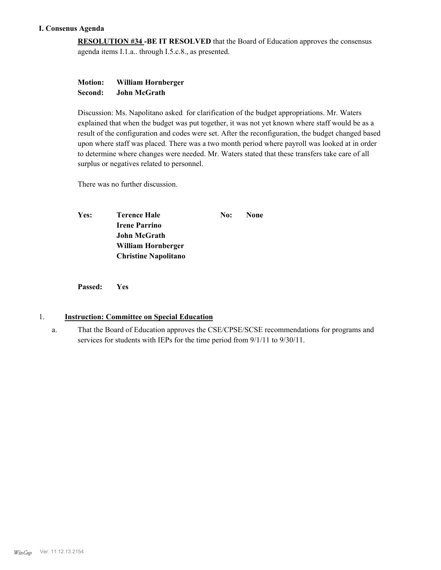## **I. Consenus Agenda**

**RESOLUTION #34 -BE IT RESOLVED** that the Board of Education approves the consensus agenda items I.1.a.. through I.5.c.8., as presented.

## **Motion: William Hornberger Second: John McGrath**

Discussion: Ms. Napolitano asked for clarification of the budget appropriations. Mr. Waters explained that when the budget was put together, it was not yet known where staff would be as a result of the configuration and codes were set. After the reconfiguration, the budget changed based upon where staff was placed. There was a two month period where payroll was looked at in order to determine where changes were needed. Mr. Waters stated that these transfers take care of all surplus or negatives related to personnel.

There was no further discussion.

| Yes: | Terence Hale                | No: | <b>None</b> |
|------|-----------------------------|-----|-------------|
|      | <b>Irene Parrino</b>        |     |             |
|      | <b>John McGrath</b>         |     |             |
|      | William Hornberger          |     |             |
|      | <b>Christine Napolitano</b> |     |             |

**Passed: Yes**

## 1. **Instruction: Committee on Special Education**

That the Board of Education approves the CSE/CPSE/SCSE recommendations for programs and services for students with IEPs for the time period from 9/1/11 to 9/30/11. a.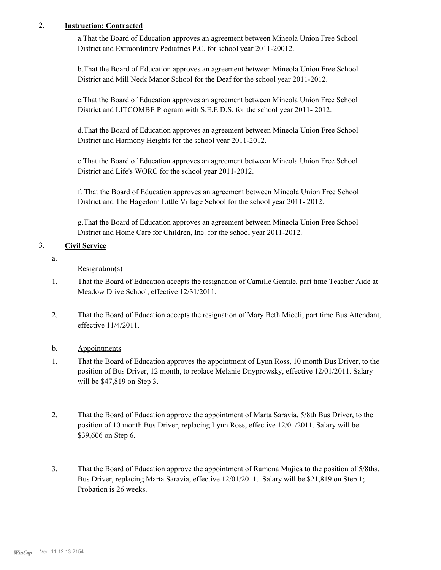# 2. **Instruction: Contracted**

a.That the Board of Education approves an agreement between Mineola Union Free School District and Extraordinary Pediatrics P.C. for school year 2011-20012.

b.That the Board of Education approves an agreement between Mineola Union Free School District and Mill Neck Manor School for the Deaf for the school year 2011-2012.

c.That the Board of Education approves an agreement between Mineola Union Free School District and LITCOMBE Program with S.E.E.D.S. for the school year 2011- 2012.

d.That the Board of Education approves an agreement between Mineola Union Free School District and Harmony Heights for the school year 2011-2012.

e.That the Board of Education approves an agreement between Mineola Union Free School District and Life's WORC for the school year 2011-2012.

f. That the Board of Education approves an agreement between Mineola Union Free School District and The Hagedorn Little Village School for the school year 2011- 2012.

g.That the Board of Education approves an agreement between Mineola Union Free School District and Home Care for Children, Inc. for the school year 2011-2012.

# 3. **Civil Service**

a.

Resignation(s)

- That the Board of Education accepts the resignation of Camille Gentile, part time Teacher Aide at Meadow Drive School, effective 12/31/2011. 1.
- That the Board of Education accepts the resignation of Mary Beth Miceli, part time Bus Attendant, effective 11/4/2011. 2.

# b. Appointments

- That the Board of Education approves the appointment of Lynn Ross, 10 month Bus Driver, to the position of Bus Driver, 12 month, to replace Melanie Dnyprowsky, effective 12/01/2011. Salary will be \$47,819 on Step 3. 1.
- That the Board of Education approve the appointment of Marta Saravia, 5/8th Bus Driver, to the position of 10 month Bus Driver, replacing Lynn Ross, effective 12/01/2011. Salary will be \$39,606 on Step 6. 2.
- That the Board of Education approve the appointment of Ramona Mujica to the position of 5/8ths. Bus Driver, replacing Marta Saravia, effective 12/01/2011. Salary will be \$21,819 on Step 1; Probation is 26 weeks. 3.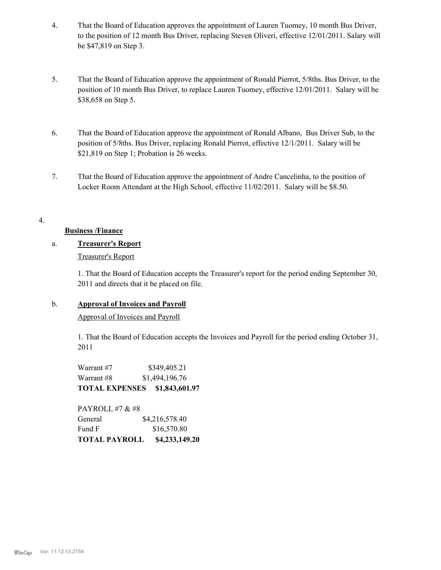- That the Board of Education approves the appointment of Lauren Tuomey, 10 month Bus Driver, to the position of 12 month Bus Driver, replacing Steven Oliveri, effective 12/01/2011. Salary will be \$47,819 on Step 3. 4.
- That the Board of Education approve the appointment of Ronald Pierrot, 5/8ths. Bus Driver, to the position of 10 month Bus Driver, to replace Lauren Tuomey, effective 12/01/2011. Salary will be \$38,658 on Step 5. 5.
- That the Board of Education approve the appointment of Ronald Albano, Bus Driver Sub, to the position of 5/8ths. Bus Driver, replacing Ronald Pierrot, effective 12/1/2011. Salary will be \$21,819 on Step 1; Probation is 26 weeks. 6.
- That the Board of Education approve the appointment of Andre Cancelinha, to the position of Locker Room Attendant at the High School, effective 11/02/2011. Salary will be \$8.50. 7.

## 4.

## **Business /Finance**

## a. **Treasurer's Report**

Treasurer's Report

1. That the Board of Education accepts the Treasurer's report for the period ending September 30, 2011 and directs that it be placed on file.

## b. **Approval of Invoices and Payroll**

Approval of Invoices and Payroll

1. That the Board of Education accepts the Invoices and Payroll for the period ending October 31, 2011

Warrant #7 \$349,405.21 Warrant #8 \$1,494,196.76 **TOTAL EXPENSES \$1,843,601.97**

PAYROLL #7 & #8 General  $$4,216,578.40$ Fund F \$16,570.80 **TOTAL PAYROLL \$4,233,149.20**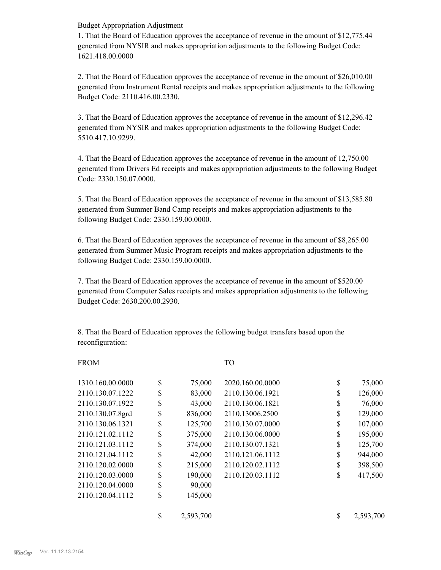Budget Appropriation Adjustment

1. That the Board of Education approves the acceptance of revenue in the amount of \$12,775.44 generated from NYSIR and makes appropriation adjustments to the following Budget Code: 1621.418.00.0000

2. That the Board of Education approves the acceptance of revenue in the amount of \$26,010.00 generated from Instrument Rental receipts and makes appropriation adjustments to the following Budget Code: 2110.416.00.2330.

3. That the Board of Education approves the acceptance of revenue in the amount of \$12,296.42 generated from NYSIR and makes appropriation adjustments to the following Budget Code: 5510.417.10.9299.

4. That the Board of Education approves the acceptance of revenue in the amount of 12,750.00 generated from Drivers Ed receipts and makes appropriation adjustments to the following Budget Code: 2330.150.07.0000.

5. That the Board of Education approves the acceptance of revenue in the amount of \$13,585.80 generated from Summer Band Camp receipts and makes appropriation adjustments to the following Budget Code: 2330.159.00.0000.

6. That the Board of Education approves the acceptance of revenue in the amount of \$8,265.00 generated from Summer Music Program receipts and makes appropriation adjustments to the following Budget Code: 2330.159.00.0000.

7. That the Board of Education approves the acceptance of revenue in the amount of \$520.00 generated from Computer Sales receipts and makes appropriation adjustments to the following Budget Code: 2630.200.00.2930.

8. That the Board of Education approves the following budget transfers based upon the reconfiguration:

#### FROM TO

| 1310.160.00.0000 | \$<br>75,000    | 2020.160.00.0000 | \$<br>75,000    |
|------------------|-----------------|------------------|-----------------|
| 2110.130.07.1222 | \$<br>83,000    | 2110.130.06.1921 | \$<br>126,000   |
| 2110.130.07.1922 | \$<br>43,000    | 2110.130.06.1821 | \$<br>76,000    |
| 2110.130.07.8grd | \$<br>836,000   | 2110.13006.2500  | \$<br>129,000   |
| 2110.130.06.1321 | \$<br>125,700   | 2110.130.07.0000 | \$<br>107,000   |
| 2110.121.02.1112 | \$<br>375,000   | 2110.130.06.0000 | \$<br>195,000   |
| 2110.121.03.1112 | \$<br>374,000   | 2110.130.07.1321 | \$<br>125,700   |
| 2110.121.04.1112 | \$<br>42,000    | 2110.121.06.1112 | \$<br>944,000   |
| 2110.120.02.0000 | \$<br>215,000   | 2110.120.02.1112 | \$<br>398,500   |
| 2110.120.03.0000 | \$<br>190,000   | 2110.120.03.1112 | \$<br>417,500   |
| 2110.120.04.0000 | \$<br>90,000    |                  |                 |
| 2110.120.04.1112 | \$<br>145,000   |                  |                 |
|                  | \$<br>2,593,700 |                  | \$<br>2,593,700 |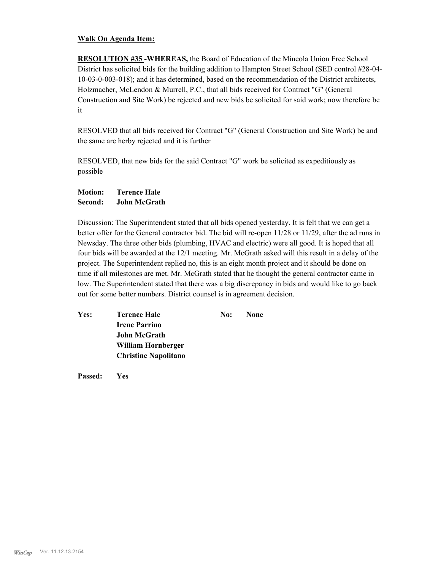#### **Walk On Agenda Item:**

**RESOLUTION #35 -WHEREAS,** the Board of Education of the Mineola Union Free School District has solicited bids for the building addition to Hampton Street School (SED control #28-04- 10-03-0-003-018); and it has determined, based on the recommendation of the District architects, Holzmacher, McLendon & Murrell, P.C., that all bids received for Contract "G" (General Construction and Site Work) be rejected and new bids be solicited for said work; now therefore be it

RESOLVED that all bids received for Contract "G" (General Construction and Site Work) be and the same are herby rejected and it is further

RESOLVED, that new bids for the said Contract "G" work be solicited as expeditiously as possible

**Motion: Terence Hale Second: John McGrath**

Discussion: The Superintendent stated that all bids opened yesterday. It is felt that we can get a better offer for the General contractor bid. The bid will re-open 11/28 or 11/29, after the ad runs in Newsday. The three other bids (plumbing, HVAC and electric) were all good. It is hoped that all four bids will be awarded at the 12/1 meeting. Mr. McGrath asked will this result in a delay of the project. The Superintendent replied no, this is an eight month project and it should be done on time if all milestones are met. Mr. McGrath stated that he thought the general contractor came in low. The Superintendent stated that there was a big discrepancy in bids and would like to go back out for some better numbers. District counsel is in agreement decision.

| Yes: | <b>Terence Hale</b>         | No: | None |
|------|-----------------------------|-----|------|
|      | <b>Irene Parrino</b>        |     |      |
|      | <b>John McGrath</b>         |     |      |
|      | William Hornberger          |     |      |
|      | <b>Christine Napolitano</b> |     |      |
|      |                             |     |      |

**Passed: Yes**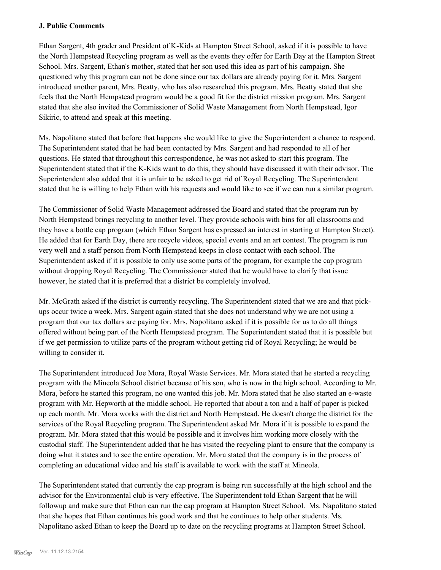#### **J. Public Comments**

Ethan Sargent, 4th grader and President of K-Kids at Hampton Street School, asked if it is possible to have the North Hempstead Recycling program as well as the events they offer for Earth Day at the Hampton Street School. Mrs. Sargent, Ethan's mother, stated that her son used this idea as part of his campaign. She questioned why this program can not be done since our tax dollars are already paying for it. Mrs. Sargent introduced another parent, Mrs. Beatty, who has also researched this program. Mrs. Beatty stated that she feels that the North Hempstead program would be a good fit for the district mission program. Mrs. Sargent stated that she also invited the Commissioner of Solid Waste Management from North Hempstead, Igor Sikiric, to attend and speak at this meeting.

Ms. Napolitano stated that before that happens she would like to give the Superintendent a chance to respond. The Superintendent stated that he had been contacted by Mrs. Sargent and had responded to all of her questions. He stated that throughout this correspondence, he was not asked to start this program. The Superintendent stated that if the K-Kids want to do this, they should have discussed it with their advisor. The Superintendent also added that it is unfair to be asked to get rid of Royal Recycling. The Superintendent stated that he is willing to help Ethan with his requests and would like to see if we can run a similar program.

The Commissioner of Solid Waste Management addressed the Board and stated that the program run by North Hempstead brings recycling to another level. They provide schools with bins for all classrooms and they have a bottle cap program (which Ethan Sargent has expressed an interest in starting at Hampton Street). He added that for Earth Day, there are recycle videos, special events and an art contest. The program is run very well and a staff person from North Hempstead keeps in close contact with each school. The Superintendent asked if it is possible to only use some parts of the program, for example the cap program without dropping Royal Recycling. The Commissioner stated that he would have to clarify that issue however, he stated that it is preferred that a district be completely involved.

Mr. McGrath asked if the district is currently recycling. The Superintendent stated that we are and that pickups occur twice a week. Mrs. Sargent again stated that she does not understand why we are not using a program that our tax dollars are paying for. Mrs. Napolitano asked if it is possible for us to do all things offered without being part of the North Hempstead program. The Superintendent stated that it is possible but if we get permission to utilize parts of the program without getting rid of Royal Recycling; he would be willing to consider it.

The Superintendent introduced Joe Mora, Royal Waste Services. Mr. Mora stated that he started a recycling program with the Mineola School district because of his son, who is now in the high school. According to Mr. Mora, before he started this program, no one wanted this job. Mr. Mora stated that he also started an e-waste program with Mr. Hepworth at the middle school. He reported that about a ton and a half of paper is picked up each month. Mr. Mora works with the district and North Hempstead. He doesn't charge the district for the services of the Royal Recycling program. The Superintendent asked Mr. Mora if it is possible to expand the program. Mr. Mora stated that this would be possible and it involves him working more closely with the custodial staff. The Superintendent added that he has visited the recycling plant to ensure that the company is doing what it states and to see the entire operation. Mr. Mora stated that the company is in the process of completing an educational video and his staff is available to work with the staff at Mineola.

The Superintendent stated that currently the cap program is being run successfully at the high school and the advisor for the Environmental club is very effective. The Superintendent told Ethan Sargent that he will followup and make sure that Ethan can run the cap program at Hampton Street School. Ms. Napolitano stated that she hopes that Ethan continues his good work and that he continues to help other students. Ms. Napolitano asked Ethan to keep the Board up to date on the recycling programs at Hampton Street School.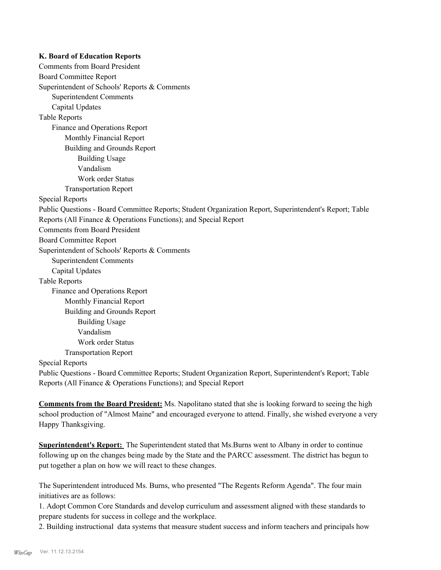#### **K. Board of Education Reports**

Comments from Board President Board Committee Report Superintendent of Schools' Reports & Comments Superintendent Comments Capital Updates Table Reports Finance and Operations Report Monthly Financial Report Building and Grounds Report Building Usage Vandalism Work order Status Transportation Report Special Reports Public Questions - Board Committee Reports; Student Organization Report, Superintendent's Report; Table Reports (All Finance & Operations Functions); and Special Report Comments from Board President Board Committee Report Superintendent of Schools' Reports & Comments Superintendent Comments Capital Updates Table Reports Finance and Operations Report Monthly Financial Report Building and Grounds Report Building Usage Vandalism Work order Status Transportation Report Special Reports Public Questions - Board Committee Reports; Student Organization Report, Superintendent's Report; Table

Reports (All Finance & Operations Functions); and Special Report

**Comments from the Board President:** Ms. Napolitano stated that she is looking forward to seeing the high school production of "Almost Maine" and encouraged everyone to attend. Finally, she wished everyone a very Happy Thanksgiving.

**Superintendent's Report:** The Superintendent stated that Ms.Burns went to Albany in order to continue following up on the changes being made by the State and the PARCC assessment. The district has begun to put together a plan on how we will react to these changes.

The Superintendent introduced Ms. Burns, who presented "The Regents Reform Agenda". The four main initiatives are as follows:

1. Adopt Common Core Standards and develop curriculum and assessment aligned with these standards to prepare students for success in college and the workplace.

2. Building instructional data systems that measure student success and inform teachers and principals how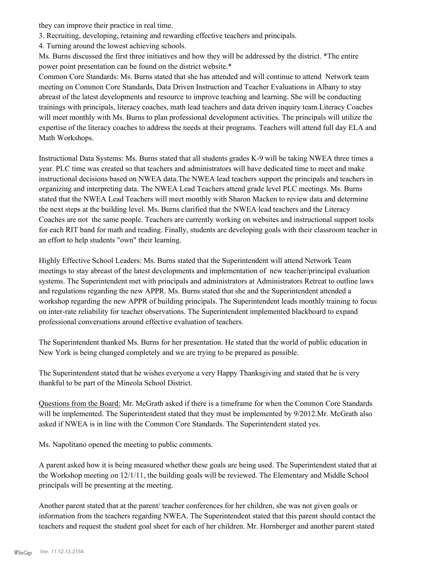they can improve their practice in real time.

3. Recruiting, developing, retaining and rewarding effective teachers and principals.

4. Turning around the lowest achieving schools.

Ms. Burns discussed the first three initiatives and how they will be addressed by the district. \*The entire power point presentation can be found on the district website.\*

Common Core Standards: Ms. Burns stated that she has attended and will continue to attend Network team meeting on Common Core Standards, Data Driven Instruction and Teacher Evaluations in Albany to stay abreast of the latest developments and resource to improve teaching and learning. She will be conducting trainings with principals, literacy coaches, math lead teachers and data driven inquiry team.Literacy Coaches will meet monthly with Ms. Burns to plan professional development activities. The principals will utilize the expertise of the literacy coaches to address the needs at their programs. Teachers will attend full day ELA and Math Workshops.

Instructional Data Systems: Ms. Burns stated that all students grades K-9 will be taking NWEA three times a year. PLC time was created so that teachers and administrators will have dedicated time to meet and make instructional decisions based on NWEA data.The NWEA lead teachers support the principals and teachers in organizing and interpreting data. The NWEA Lead Teachers attend grade level PLC meetings. Ms. Burns stated that the NWEA Lead Teachers will meet monthly with Sharon Macken to review data and determine the next steps at the building level. Ms. Burns clarified that the NWEA lead teachers and the Literacy Coaches are not the same people. Teachers are currently working on websites and instructional support tools for each RIT band for math and reading. Finally, students are developing goals with their classroom teacher in an effort to help students "own" their learning.

Highly Effective School Leaders: Ms. Burns stated that the Superintendent will attend Network Team meetings to stay abreast of the latest developments and implementation of new teacher/principal evaluation systems. The Superintendent met with principals and administrators at Administrators Retreat to outline laws and regulations regarding the new APPR. Ms. Burns stated that she and the Superintendent attended a workshop regarding the new APPR of building principals. The Superintendent leads monthly training to focus on inter-rate reliability for teacher observations. The Superintendent implemented blackboard to expand professional conversations around effective evaluation of teachers.

The Superintendent thanked Ms. Burns for her presentation. He stated that the world of public education in New York is being changed completely and we are trying to be prepared as possible.

The Superintendent stated that he wishes everyone a very Happy Thanksgiving and stated that he is very thankful to be part of the Mineola School District.

Questions from the Board: Mr. McGrath asked if there is a timeframe for when the Common Core Standards will be implemented. The Superintendent stated that they must be implemented by  $9/2012$ .Mr. McGrath also asked if NWEA is in line with the Common Core Standards. The Superintendent stated yes.

Ms. Napolitano opened the meeting to public comments.

A parent asked how it is being measured whether these goals are being used. The Superintendent stated that at the Workshop meeting on 12/1/11, the building goals will be reviewed. The Elementary and Middle School principals will be presenting at the meeting.

Another parent stated that at the parent/ teacher conferences for her children, she was not given goals or information from the teachers regarding NWEA. The Superintendent stated that this parent should contact the teachers and request the student goal sheet for each of her children. Mr. Hornberger and another parent stated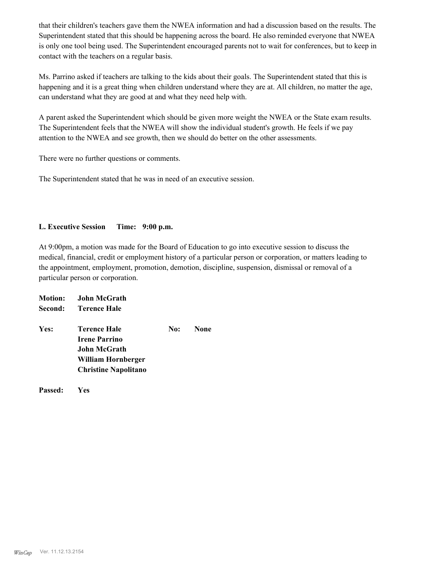that their children's teachers gave them the NWEA information and had a discussion based on the results. The Superintendent stated that this should be happening across the board. He also reminded everyone that NWEA is only one tool being used. The Superintendent encouraged parents not to wait for conferences, but to keep in contact with the teachers on a regular basis.

Ms. Parrino asked if teachers are talking to the kids about their goals. The Superintendent stated that this is happening and it is a great thing when children understand where they are at. All children, no matter the age, can understand what they are good at and what they need help with.

A parent asked the Superintendent which should be given more weight the NWEA or the State exam results. The Superintendent feels that the NWEA will show the individual student's growth. He feels if we pay attention to the NWEA and see growth, then we should do better on the other assessments.

There were no further questions or comments.

The Superintendent stated that he was in need of an executive session.

#### **L. Executive Session Time: 9:00 p.m.**

At 9:00pm, a motion was made for the Board of Education to go into executive session to discuss the medical, financial, credit or employment history of a particular person or corporation, or matters leading to the appointment, employment, promotion, demotion, discipline, suspension, dismissal or removal of a particular person or corporation.

|      | <b>Motion:</b> John McGrath |     |             |
|------|-----------------------------|-----|-------------|
|      | Second: Terence Hale        |     |             |
| Yes: | Terence Hale                | No: | <b>None</b> |
|      | <b>Irene Parrino</b>        |     |             |
|      | John McGrath                |     |             |
|      | William Hornberger          |     |             |
|      | <b>Christine Napolitano</b> |     |             |
|      |                             |     |             |

**Passed: Yes**